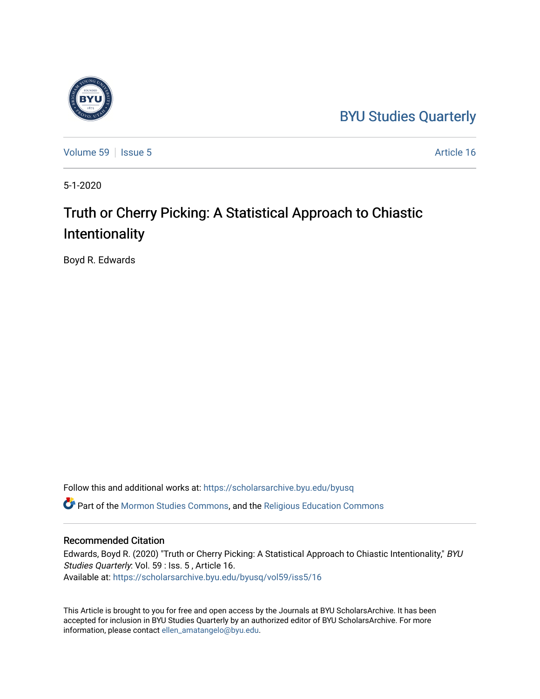### [BYU Studies Quarterly](https://scholarsarchive.byu.edu/byusq)



[Volume 59](https://scholarsarchive.byu.edu/byusq/vol59) | [Issue 5](https://scholarsarchive.byu.edu/byusq/vol59/iss5) Article 16

5-1-2020

## Truth or Cherry Picking: A Statistical Approach to Chiastic Intentionality

Boyd R. Edwards

Follow this and additional works at: [https://scholarsarchive.byu.edu/byusq](https://scholarsarchive.byu.edu/byusq?utm_source=scholarsarchive.byu.edu%2Fbyusq%2Fvol59%2Fiss5%2F16&utm_medium=PDF&utm_campaign=PDFCoverPages) 

Part of the [Mormon Studies Commons](http://network.bepress.com/hgg/discipline/1360?utm_source=scholarsarchive.byu.edu%2Fbyusq%2Fvol59%2Fiss5%2F16&utm_medium=PDF&utm_campaign=PDFCoverPages), and the [Religious Education Commons](http://network.bepress.com/hgg/discipline/1414?utm_source=scholarsarchive.byu.edu%2Fbyusq%2Fvol59%2Fiss5%2F16&utm_medium=PDF&utm_campaign=PDFCoverPages) 

### Recommended Citation

Edwards, Boyd R. (2020) "Truth or Cherry Picking: A Statistical Approach to Chiastic Intentionality," BYU Studies Quarterly: Vol. 59 : Iss. 5 , Article 16. Available at: [https://scholarsarchive.byu.edu/byusq/vol59/iss5/16](https://scholarsarchive.byu.edu/byusq/vol59/iss5/16?utm_source=scholarsarchive.byu.edu%2Fbyusq%2Fvol59%2Fiss5%2F16&utm_medium=PDF&utm_campaign=PDFCoverPages) 

This Article is brought to you for free and open access by the Journals at BYU ScholarsArchive. It has been accepted for inclusion in BYU Studies Quarterly by an authorized editor of BYU ScholarsArchive. For more information, please contact [ellen\\_amatangelo@byu.edu.](mailto:ellen_amatangelo@byu.edu)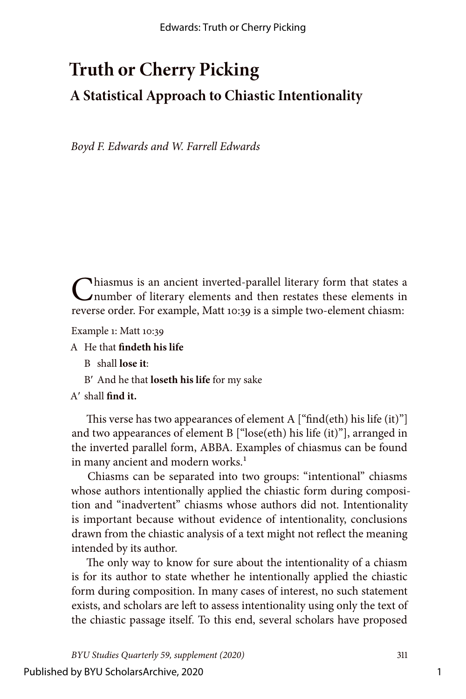# **Truth or Cherry Picking A Statistical Approach to Chiastic Intentionality**

*Boyd F. Edwards and W. Farrell Edwards*

Chiasmus is an ancient inverted-parallel literary form that states a number of literary elements and then restates these elements in reverse order. For example, Matt 10:39 is a simple two-element chiasm:

Example 1: Matt 10:39

A He that **findeth his life**

- B shall **lose it**:
- Bʹ And he that **loseth his life** for my sake

### Aʹ shall **find it.**

This verse has two appearances of element A  $\lceil \text{``find(eth)} \rceil$  his life (it)" and two appearances of element B ["lose(eth) his life (it)"], arranged in the inverted parallel form, ABBA. Examples of chiasmus can be found in many ancient and modern works.<sup>1</sup>

Chiasms can be separated into two groups: "intentional" chiasms whose authors intentionally applied the chiastic form during composition and "inadvertent" chiasms whose authors did not. Intentionality is important because without evidence of intentionality, conclusions drawn from the chiastic analysis of a text might not reflect the meaning intended by its author.

The only way to know for sure about the intentionality of a chiasm is for its author to state whether he intentionally applied the chiastic form during composition. In many cases of interest, no such statement exists, and scholars are left to assess intentionality using only the text of the chiastic passage itself. To this end, several scholars have proposed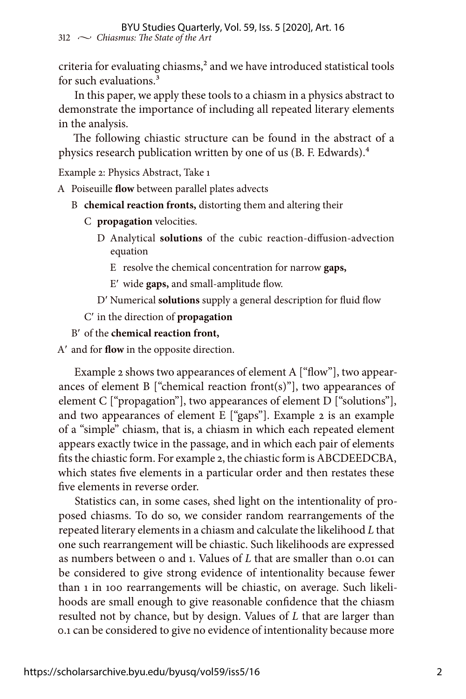criteria for evaluating chiasms,<sup>2</sup> and we have introduced statistical tools for such evaluations.<sup>3</sup>

In this paper, we apply these tools to a chiasm in a physics abstract to demonstrate the importance of including all repeated literary elements in the analysis.

The following chiastic structure can be found in the abstract of a physics research publication written by one of us (B. F. Edwards).4

Example 2: Physics Abstract, Take 1

A Poiseuille **flow** between parallel plates advects

- B **chemical reaction fronts,** distorting them and altering their
	- C **propagation** velocities.
		- D Analytical **solutions** of the cubic reaction-diffusion-advection equation
			- E resolve the chemical concentration for narrow **gaps,**

Eʹ wide **gaps,** and small-amplitude flow.

Dʹ Numerical **solutions** supply a general description for fluid flow

Cʹ in the direction of **propagation**

Bʹ of the **chemical reaction front,**

Aʹ and for **flow** in the opposite direction.

Example 2 shows two appearances of element A ["flow"], two appearances of element  $B$  ["chemical reaction front(s)"], two appearances of element C ["propagation"], two appearances of element D ["solutions"], and two appearances of element E ["gaps"]. Example 2 is an example of a "simple" chiasm, that is, a chiasm in which each repeated element appears exactly twice in the passage, and in which each pair of elements fits the chiastic form. For example 2, the chiastic form is ABCDEEDCBA, which states five elements in a particular order and then restates these five elements in reverse order.

Statistics can, in some cases, shed light on the intentionality of proposed chiasms. To do so, we consider random rearrangements of the repeated literary elements in a chiasm and calculate the likelihood *L* that one such rearrangement will be chiastic. Such likelihoods are expressed as numbers between 0 and 1. Values of *L* that are smaller than 0.01 can be considered to give strong evidence of intentionality because fewer than 1 in 100 rearrangements will be chiastic, on average. Such likelihoods are small enough to give reasonable confidence that the chiasm resulted not by chance, but by design. Values of *L* that are larger than 0.1 can be considered to give no evidence of intentionality because more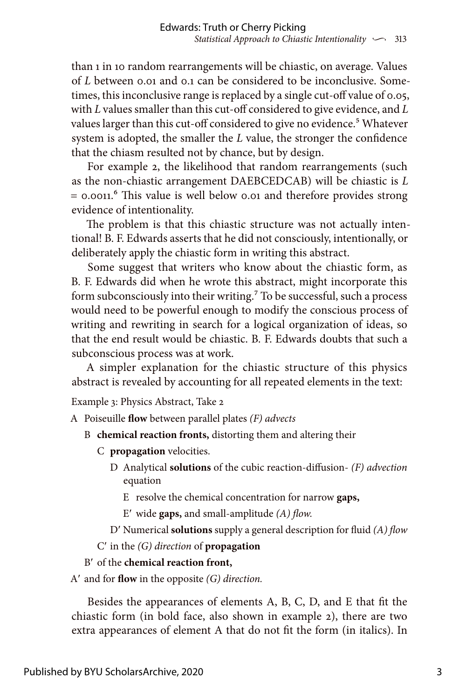than 1 in 10 random rearrangements will be chiastic, on average. Values of *L* between 0.01 and 0.1 can be considered to be inconclusive. Sometimes, this inconclusive range is replaced by a single cut-off value of 0.05, with *L* values smaller than this cut-off considered to give evidence, and *L* values larger than this cut-off considered to give no evidence.<sup>5</sup> Whatever system is adopted, the smaller the *L* value, the stronger the confidence that the chiasm resulted not by chance, but by design.

For example 2, the likelihood that random rearrangements (such as the non-chiastic arrangement DAEBCEDCAB) will be chiastic is *L* = 0.0011.6 This value is well below 0.01 and therefore provides strong evidence of intentionality.

The problem is that this chiastic structure was not actually intentional! B. F. Edwards asserts that he did not consciously, intentionally, or deliberately apply the chiastic form in writing this abstract.

Some suggest that writers who know about the chiastic form, as B. F. Edwards did when he wrote this abstract, might incorporate this form subconsciously into their writing.<sup>7</sup> To be successful, such a process would need to be powerful enough to modify the conscious process of writing and rewriting in search for a logical organization of ideas, so that the end result would be chiastic. B. F. Edwards doubts that such a subconscious process was at work.

A simpler explanation for the chiastic structure of this physics abstract is revealed by accounting for all repeated elements in the text:

Example 3: Physics Abstract, Take 2

A Poiseuille **flow** between parallel plates *(F) advects*

- B **chemical reaction fronts,** distorting them and altering their
	- C **propagation** velocities.
		- D Analytical **solutions** of the cubic reaction-diffusion- *(F) advection* equation
			- E resolve the chemical concentration for narrow **gaps,**

Eʹ wide **gaps,** and small-amplitude *(A) flow.*

Dʹ Numerical **solutions** supply a general description for fluid *(A) flow*

Cʹ in the *(G) direction* of **propagation**

#### Bʹ of the **chemical reaction front,**

Aʹ and for **flow** in the opposite *(G) direction.*

Besides the appearances of elements A, B, C, D, and E that fit the chiastic form (in bold face, also shown in example 2), there are two extra appearances of element A that do not fit the form (in italics). In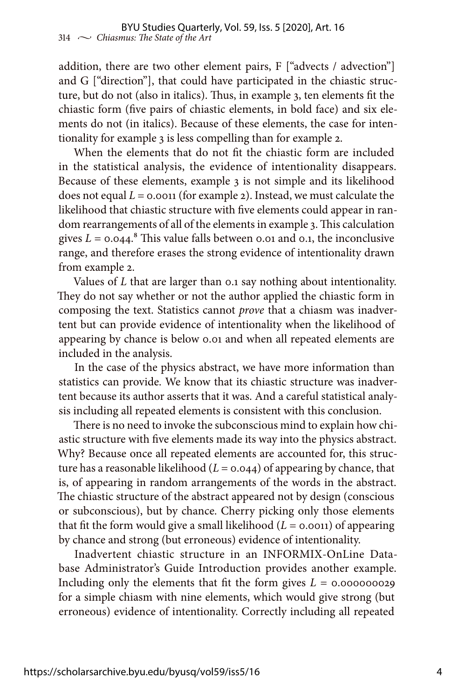addition, there are two other element pairs, F ["advects / advection"] and G ["direction"], that could have participated in the chiastic structure, but do not (also in italics). Thus, in example 3, ten elements fit the chiastic form (five pairs of chiastic elements, in bold face) and six elements do not (in italics). Because of these elements, the case for intentionality for example 3 is less compelling than for example 2.

When the elements that do not fit the chiastic form are included in the statistical analysis, the evidence of intentionality disappears. Because of these elements, example 3 is not simple and its likelihood does not equal *L* = 0.0011 (for example 2). Instead, we must calculate the likelihood that chiastic structure with five elements could appear in random rearrangements of all of the elements in example 3. This calculation gives  $L = 0.044$ .<sup>8</sup> This value falls between 0.01 and 0.1, the inconclusive range, and therefore erases the strong evidence of intentionality drawn from example 2.

Values of *L* that are larger than 0.1 say nothing about intentionality. They do not say whether or not the author applied the chiastic form in composing the text. Statistics cannot *prove* that a chiasm was inadvertent but can provide evidence of intentionality when the likelihood of appearing by chance is below 0.01 and when all repeated elements are included in the analysis.

In the case of the physics abstract, we have more information than statistics can provide. We know that its chiastic structure was inadvertent because its author asserts that it was. And a careful statistical analysis including all repeated elements is consistent with this conclusion.

There is no need to invoke the subconscious mind to explain how chiastic structure with five elements made its way into the physics abstract. Why? Because once all repeated elements are accounted for, this structure has a reasonable likelihood  $(L = 0.044)$  of appearing by chance, that is, of appearing in random arrangements of the words in the abstract. The chiastic structure of the abstract appeared not by design (conscious or subconscious), but by chance. Cherry picking only those elements that fit the form would give a small likelihood  $(L = 0.0011)$  of appearing by chance and strong (but erroneous) evidence of intentionality.

Inadvertent chiastic structure in an INFORMIX-OnLine Database Administrator's Guide Introduction provides another example. Including only the elements that fit the form gives *L* = 0.000000029 for a simple chiasm with nine elements, which would give strong (but erroneous) evidence of intentionality. Correctly including all repeated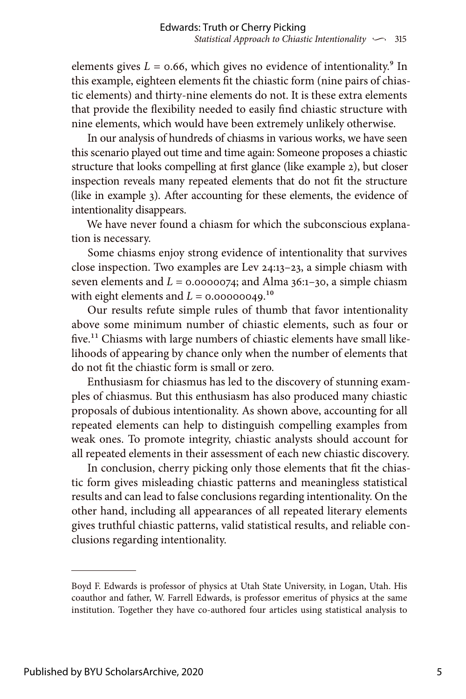elements gives  $L = 0.66$ , which gives no evidence of intentionality.<sup>9</sup> In this example, eighteen elements fit the chiastic form (nine pairs of chiastic elements) and thirty-nine elements do not. It is these extra elements that provide the flexibility needed to easily find chiastic structure with nine elements, which would have been extremely unlikely otherwise.

In our analysis of hundreds of chiasms in various works, we have seen this scenario played out time and time again: Someone proposes a chiastic structure that looks compelling at first glance (like example 2), but closer inspection reveals many repeated elements that do not fit the structure (like in example 3). After accounting for these elements, the evidence of intentionality disappears.

We have never found a chiasm for which the subconscious explanation is necessary.

Some chiasms enjoy strong evidence of intentionality that survives close inspection. Two examples are Lev 24:13–23, a simple chiasm with seven elements and  $L = 0.0000074$ ; and Alma 36:1-30, a simple chiasm with eight elements and  $L = 0.00000049$ .<sup>10</sup>

Our results refute simple rules of thumb that favor intentionality above some minimum number of chiastic elements, such as four or five.<sup>11</sup> Chiasms with large numbers of chiastic elements have small likelihoods of appearing by chance only when the number of elements that do not fit the chiastic form is small or zero.

Enthusiasm for chiasmus has led to the discovery of stunning examples of chiasmus. But this enthusiasm has also produced many chiastic proposals of dubious intentionality. As shown above, accounting for all repeated elements can help to distinguish compelling examples from weak ones. To promote integrity, chiastic analysts should account for all repeated elements in their assessment of each new chiastic discovery.

In conclusion, cherry picking only those elements that fit the chiastic form gives misleading chiastic patterns and meaningless statistical results and can lead to false conclusions regarding intentionality. On the other hand, including all appearances of all repeated literary elements gives truthful chiastic patterns, valid statistical results, and reliable conclusions regarding intentionality.

Boyd F. Edwards is professor of physics at Utah State University, in Logan, Utah. His coauthor and father, W. Farrell Edwards, is professor emeritus of physics at the same institution. Together they have co-authored four articles using statistical analysis to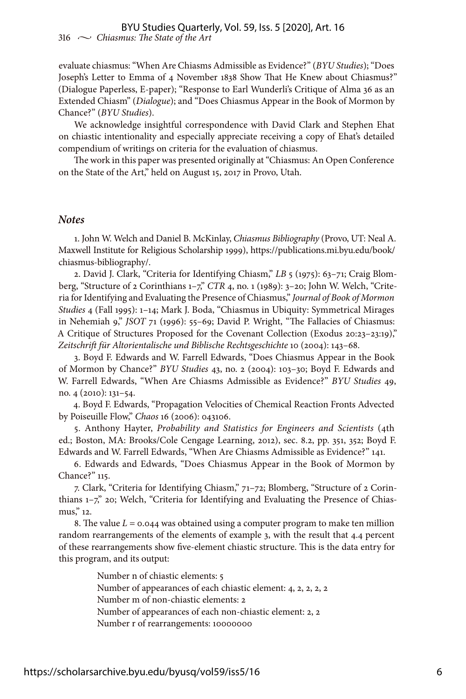evaluate chiasmus: "When Are Chiasms Admissible as Evidence?" (*BYU Studies*); "Does Joseph's Letter to Emma of 4 November 1838 Show That He Knew about Chiasmus?" (Dialogue Paperless, E-paper); "Response to Earl Wunderli's Critique of Alma 36 as an Extended Chiasm" (*Dialogue*); and "Does Chiasmus Appear in the Book of Mormon by Chance?" (*BYU Studies*).

We acknowledge insightful correspondence with David Clark and Stephen Ehat on chiastic intentionality and especially appreciate receiving a copy of Ehat's detailed compendium of writings on criteria for the evaluation of chiasmus.

The work in this paper was presented originally at "Chiasmus: An Open Conference on the State of the Art," held on August 15, 2017 in Provo, Utah.

#### *Notes*

1. John W. Welch and Daniel B. McKinlay, *Chiasmus Bibliography* (Provo, UT: Neal A. Maxwell Institute for Religious Scholarship 1999), [https://publications.mi.byu.edu/book/](https://publications.mi.byu.edu/book/chiasmus-bibliography/) [chiasmus-bibliography/.](https://publications.mi.byu.edu/book/chiasmus-bibliography/)

2. David J. Clark, "Criteria for Identifying Chiasm," *LB* 5 (1975): 63–71; Craig Blomberg, "Structure of 2 Corinthians 1–7," *CTR* 4, no. 1 (1989): 3–20; John W. Welch, "Criteria for Identifying and Evaluating the Presence of Chiasmus," *Journal of Book of Mormon Studies* 4 (Fall 1995): 1–14; Mark J. Boda, "Chiasmus in Ubiquity: Symmetrical Mirages in Nehemiah 9," *JSOT* 71 (1996): 55–69; David P. Wright, "The Fallacies of Chiasmus: A Critique of Structures Proposed for the Covenant Collection (Exodus 20:23–23:19)," *Zeitschrift für Altorientalische und Biblische Rechtsgeschichte* 10 (2004): 143–68.

3. Boyd F. Edwards and W. Farrell Edwards, "Does Chiasmus Appear in the Book of Mormon by Chance?" *BYU Studies* 43, no. 2 (2004): 103–30; Boyd F. Edwards and W. Farrell Edwards, "When Are Chiasms Admissible as Evidence?" *BYU Studies* 49, no. 4 (2010): 131–54.

4. Boyd F. Edwards, "Propagation Velocities of Chemical Reaction Fronts Advected by Poiseuille Flow," *Chaos* 16 (2006): 043106.

5. Anthony Hayter, *Probability and Statistics for Engineers and Scientists* (4th ed.; Boston, MA: Brooks/Cole Cengage Learning, 2012), sec. 8.2, pp. 351, 352; Boyd F. Edwards and W. Farrell Edwards, "When Are Chiasms Admissible as Evidence?" 141.

6. Edwards and Edwards, "Does Chiasmus Appear in the Book of Mormon by Chance?" 115.

7. Clark, "Criteria for Identifying Chiasm," 71–72; Blomberg, "Structure of 2 Corinthians 1-7," 20; Welch, "Criteria for Identifying and Evaluating the Presence of Chiasmus," 12.

8. The value *L* = 0.044 was obtained using a computer program to make ten million random rearrangements of the elements of example 3, with the result that 4.4 percent of these rearrangements show five-element chiastic structure. This is the data entry for this program, and its output:

> Number n of chiastic elements: 5 Number of appearances of each chiastic element: 4, 2, 2, 2, 2 Number m of non-chiastic elements: 2 Number of appearances of each non-chiastic element: 2, 2 Number r of rearrangements: 10000000